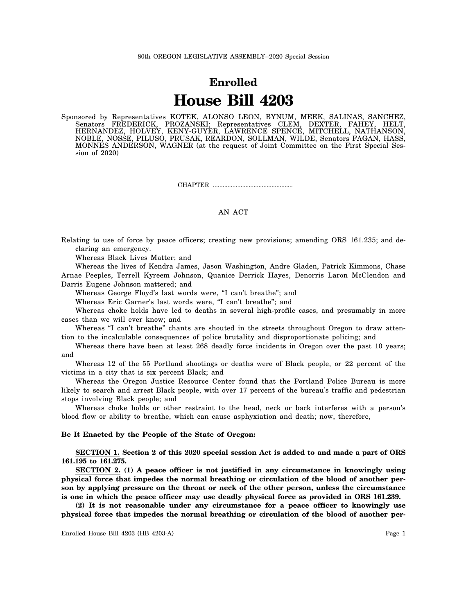## **Enrolled House Bill 4203**

Sponsored by Representatives KOTEK, ALONSO LEON, BYNUM, MEEK, SALINAS, SANCHEZ, Senators FREDERICK, PROZANSKI; Representatives CLEM, DEXTER, FAHEY, HELT, HERNANDEZ, HOLVEY, KENY-GUYER, LAWRENCE SPENCE, MITCHELL, NATHANSON, NOBLE, NOSSE, PILUSO, PRUSAK, REARDON, SOLLMAN, WILDE, Senators FAGAN, HASS, MONNES ANDERSON, WAGNER (at the request of Joint Committee on the First Special Session of 2020)

CHAPTER .................................................

## AN ACT

Relating to use of force by peace officers; creating new provisions; amending ORS 161.235; and declaring an emergency.

Whereas Black Lives Matter; and

Whereas the lives of Kendra James, Jason Washington, Andre Gladen, Patrick Kimmons, Chase Arnae Peeples, Terrell Kyreem Johnson, Quanice Derrick Hayes, Denorris Laron McClendon and Darris Eugene Johnson mattered; and

Whereas George Floyd's last words were, "I can't breathe"; and

Whereas Eric Garner's last words were, "I can't breathe"; and

Whereas choke holds have led to deaths in several high-profile cases, and presumably in more cases than we will ever know; and

Whereas "I can't breathe" chants are shouted in the streets throughout Oregon to draw attention to the incalculable consequences of police brutality and disproportionate policing; and

Whereas there have been at least 268 deadly force incidents in Oregon over the past 10 years; and

Whereas 12 of the 55 Portland shootings or deaths were of Black people, or 22 percent of the victims in a city that is six percent Black; and

Whereas the Oregon Justice Resource Center found that the Portland Police Bureau is more likely to search and arrest Black people, with over 17 percent of the bureau's traffic and pedestrian stops involving Black people; and

Whereas choke holds or other restraint to the head, neck or back interferes with a person's blood flow or ability to breathe, which can cause asphyxiation and death; now, therefore,

## **Be It Enacted by the People of the State of Oregon:**

**SECTION 1. Section 2 of this 2020 special session Act is added to and made a part of ORS 161.195 to 161.275.**

**SECTION 2. (1) A peace officer is not justified in any circumstance in knowingly using physical force that impedes the normal breathing or circulation of the blood of another person by applying pressure on the throat or neck of the other person, unless the circumstance is one in which the peace officer may use deadly physical force as provided in ORS 161.239.**

**(2) It is not reasonable under any circumstance for a peace officer to knowingly use physical force that impedes the normal breathing or circulation of the blood of another per-**